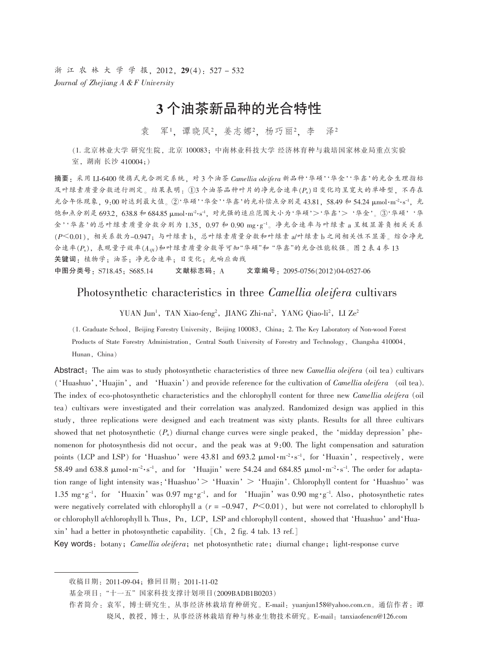浙江农林大学学报, 2012, 29(4): 527-532 Journal of Zhejiang A & F University

# 3个油茶新品种的光合特性

袁 军1. 谭晓风2. 姜志娜2. 杨巧丽2. 李 泽2

(1. 北京林业大学 研究生院, 北京 100083: 中南林业科技大学 经济林育种与栽培国家林业局重点实验 室, 湖南长沙 410004;)

摘要:采用 LI-6400 便携式光合测定系统,对3个油茶 Camellia oleifera 新品种'华硕''华金''华鑫'的光合生理指标 及叶绿素质量分数进行测定。结果表明: 13 个油茶品种叶片的净光合速率(P),日变化均呈宽大的单峰型, 不存在 光合午休现象, 9:00 时达到最大值。②'华硕''华金''华鑫'的光补偿点分别是43.81, 58.49 和 54.24 μmol·m<sup>-2</sup>·s<sup>-1</sup>, 光 饱和点分别是 693.2, 638.8 和 684.85 μmol·m<sup>-2</sup>·s<sup>-1</sup>, 对光强的适应范围大小为'华硕'>'华鑫'>'华金'。③'华硕''华 金''华鑫'的总叶绿素质量分数分别为1.35,0.97 和0.90 mg·g-1。净光合速率与叶绿素a呈极显著负相关关系 (P<0.01), 相关系数为-0.947; 与叶绿素b, 总叶绿素质量分数和叶绿素 a/叶绿素b之间相关性不显著。综合净光 合速率(Pn),表观量子效率(Aor)和叶绿素质量分数等可知"华硕"和"华鑫"的光合性能较强。图2表4参13 关键词: 植物学; 油茶; 净光合速率; 日变化; 光响应曲线 中图分类号: S718.45; S685.14 文献标志码: A 文章编号: 2095-0756(2012)04-0527-06

# Photosynthetic characteristics in three *Camellia oleifera* cultivars

YUAN Jun<sup>1</sup>, TAN Xiao-feng<sup>2</sup>, JIANG Zhi-na<sup>2</sup>, YANG Qiao-li<sup>2</sup>, LI Ze<sup>2</sup>

(1. Graduate School, Beijing Forestry University, Beijing 100083, China; 2. The Key Laboratory of Non-wood Forest Products of State Forestry Administration, Central South University of Forestry and Technology, Changsha 410004, Hunan, China)

Abstract: The aim was to study photosynthetic characteristics of three new *Camellia oleifera* (oil tea) cultivars ('Huashuo', 'Huajin', and 'Huaxin') and provide reference for the cultivation of *Camellia oleifera* (oil tea). The index of eco-photosynthetic characteristics and the chlorophyll content for three new *Camellia oleifera* (oil tea) cultivars were investigated and their correlation was analyzed. Randomized design was applied in this study, three replications were designed and each treatment was sixty plants. Results for all three cultivars showed that net photosynthetic  $(P_n)$  diurnal change curves were single peaked, the 'midday depression' phenomenon for photosynthesis did not occur, and the peak was at 9:00. The light compensation and saturation points (LCP and LSP) for 'Huashuo' were 43.81 and 693.2 µmol·m<sup>-2</sup>·s<sup>-1</sup>, for 'Huaxin', respectively, were 58.49 and 638.8  $\mu$ mol·m<sup>-2</sup>·s<sup>-1</sup>, and for 'Huajin' were 54.24 and 684.85  $\mu$ mol·m<sup>-2</sup>·s<sup>-1</sup>. The order for adaptation range of light intensity was: 'Huashuo'  $>$  'Huaxin'  $>$  'Huajin'. Chlorophyll content for 'Huashuo' was 1.35 mg $\cdot$ g<sup>-1</sup>, for 'Huaxin' was 0.97 mg $\cdot$ g<sup>-1</sup>, and for 'Huajin' was 0.90 mg $\cdot$ g<sup>-1</sup>. Also, photosynthetic rates were negatively correlated with chlorophyll a ( $r = -0.947$ ,  $P \le 0.01$ ), but were not correlated to chlorophyll b or chlorophyll a/chlorophyll b. Thus, Pn, LCP, LSP and chlorophyll content, showed that 'Huashuo' and 'Huaxin' had a better in photosynthetic capability. [Ch, 2 fig. 4 tab. 13 ref.]

Key words: botany; Camellia oleifera; net photosynthetic rate; diurnal change; light-response curve

收稿日期: 2011-09-04; 修回日期: 2011-11-02

基金项目: "十一五"国家科技支撑计划项目(2009BADB1B0203)

作者简介: 袁军, 博士研究生, 从事经济林栽培育种研究。E-mail: yuanjun158@yahoo.com.cn。通信作者: 谭 晓风,教授,博士,从事经济林栽培育种与林业生物技术研究。E-mail: tanxiaofencn@126.com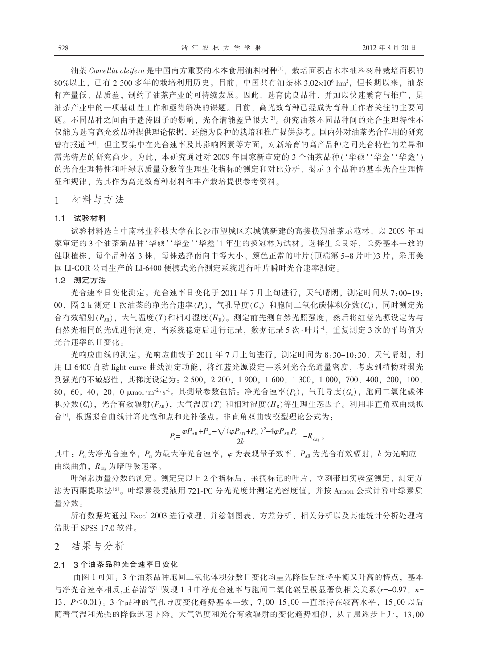油茶 Camellia oleifera 是中国南方重要的木本食用油料树种[1]. 栽培面积占木本油料树种栽培面积的 80%以上,已有2300多年的栽培利用历史。目前,中国共有油茶林3.02×10<sup>6</sup> hm<sup>2</sup>,但长期以来,油茶 籽产量低、品质差,制约了油茶产业的可持续发展。因此,选育优良品种,并加以快速繁育与推广,是 油茶产业中的一项基础性工作和亟待解决的课题。目前,高光效育种已经成为育种工作者关注的主要问 题。不同品种之间由于遗传因子的影响,光合潜能差异很大<sup>[2]</sup>。研究油茶不同品种间的光合生理特性不 仅能为选育高光效品种提供理论依据,还能为良种的栽培和推广提供参考。国内外对油茶光合作用的研究 曾有报道<sup>[34]</sup>, 但主要集中在光合速率及其影响因素等方面, 对新培育的高产品种之间光合特性的差异和 需光特点的研究尚少。为此, 本研究通过对2009年国家新审定的3个油茶品种('华硕''华金''华鑫') 的光合生理特性和叶绿素质量分数等生理生化指标的测定和对比分析, 揭示3个品种的基本光合生理特 征和规律、为其作为高光效育种材料和丰产栽培提供参考资料。

材料与方法  $1$ 

### 1.1 试验材料

试验材料选自中南林业科技大学在长沙市望城区东城镇新建的高接换冠油茶示范林, 以 2009年国 家审定的3个油茶新品种'华硕''华金''华鑫'1年生的换冠林为试材。选择生长良好,长势基本一致的 健康植株, 每个品种各3株, 每株选择南向中等大小、颜色正常的叶片(顶端第5~8片叶)3片, 采用美 国 LI-COR 公司生产的 LI-6400 便携式光合测定系统进行叶片瞬时光合速率测定。

# 1.2 测定方法

光合速率日变化测定。光合速率日变化于2011年7月上旬进行,天气晴朗,测定时间从7:00-19: 00, 隔2h测定1次油茶的净光合速率 $(P_n)$ , 气孔导度 $(G_s)$  和胞间二氧化碳体积分数 $(C_i)$ , 同时测定光 合有效辐射( $P_{\text{AR}}$ ),大气温度(T)和相对湿度(H<sub>R</sub>)。测定前先测自然光照强度,然后将红蓝光源设定为与 自然光相同的光强进行测定, 当系统稳定后进行记录, 数据记录 5 次·叶片<sup>-1</sup>, 重复测定 3 次的平均值为 光合速率的日变化。

光响应曲线的测定。光响应曲线于2011年7月上旬进行,测定时间为8:30-10:30,天气晴朗,利 用 LI-6400 自动 light-curve 曲线测定功能, 将红蓝光源设定一系列光合光通量密度, 考虑到植物对弱光 到强光的不敏感性, 其梯度设定为: 2 500, 2 200, 1 900, 1 600, 1 300, 1 000, 700, 400, 200, 100,  $80, 60, 40, 20, 0 \mu$ mol·m<sup>-2</sup>·s<sup>-1</sup>。其测量参数包括: 净光合速率( $P_n$ ), 气孔导度( $G_s$ ), 胞间二氧化碳体 积分数( $C_i$ ), 光合有效辐射( $P_{AR}$ ), 大气温度(T) 和相对湿度( $H_R$ )等生理生态因子。利用非直角双曲线拟 合5], 根据拟合曲线计算光饱和点和光补偿点。非直角双曲线模型理论公式为:

$$
P_{\rm n} = \frac{\varphi P_{\rm AR} + P_{\rm m} - \sqrt{(\varphi P_{\rm AR} + P_{\rm m})^2 - 4\varphi P_{\rm AR} P_{\rm m}}}{2k} - R_{\rm day} \, \text{d}x
$$

其中: P<sub>n</sub> 为净光合速率, P<sub>n</sub> 为最大净光合速率, φ 为表观量子效率, P<sub>AR</sub> 为光合有效辐射, k 为光响应 曲线曲角, Rday 为暗呼吸速率。

叶绿素质量分数的测定。测定完以上2个指标后,采摘标记的叶片,立刻带回实验室测定,测定方 法为丙酮提取法[6]。叶绿素浸提液用 721-PC 分光光度计测定光密度值, 并按 Arnon 公式计算叶绿素质 量分数。

所有数据均通过 Excel 2003 进行整理, 并绘制图表, 方差分析、相关分析以及其他统计分析处理均 借助于 SPSS 17.0 软件。

# 2 结果与分析

## 21 3个油茶品种光合速率日变化

由图 1 可知:3 个油茶品种胞间二氧化体积分数日变化均呈先降低后维持平衡又升高的特点,基本 与净光合速率相反,王春清等[7]发现1d中净光合速率与胞间二氧化碳呈极显著负相关关系(r=-0.97, n= 13, P<0.01)。3个品种的气孔导度变化趋势基本一致, 7:00-15:00 一直维持在较高水平, 15:00 以后 随着气温和光强的降低迅速下降。大气温度和光合有效辐射的变化趋势相似,从早晨逐步上升,13:00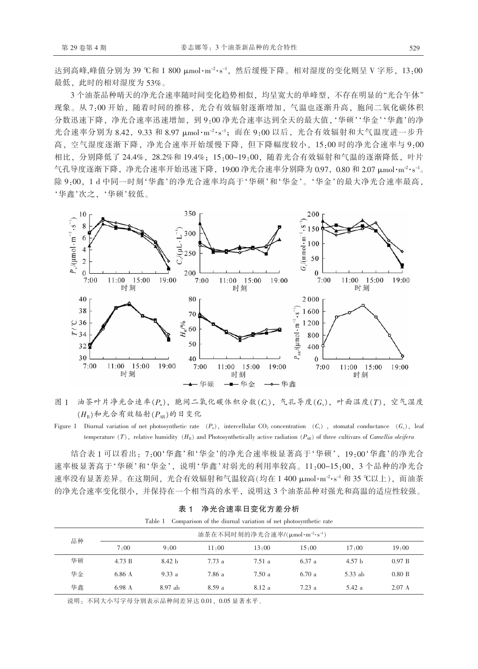达到高峰,峰值分别为 39 ℃和 1 800 μmol·m<sup>-2</sup>·s<sup>-1</sup>, 然后缓慢下降。相对湿度的变化则呈 V 字形, 13:00 最低, 此时的相对湿度为53%。

3个油茶品种晴天的净光合速率随时间变化趋势相似,均呈宽大的单峰型,不存在明显的"光合午休" 现象。从7:00开始,随着时间的推移,光合有效辐射逐渐增加,气温也逐渐升高,胞间二氧化碳体积 分数迅速下降,净光合速率迅速增加,到9:00净光合速率达到全天的最大值,'华硕''华金''华鑫'的净 光合速率分别为 8.42, 9.33 和 8.97 μmol·m<sup>-2</sup>·s<sup>-1</sup>; 而在 9:00 以后, 光合有效辐射和大气温度进一步升 高, 空气湿度逐渐下降, 净光合速率开始缓慢下降, 但下降幅度较小, 15:00 时的净光合速率与 9:00 相比, 分别降低了 24.4%, 28.2%和 19.4%; 15:00-19:00, 随着光合有效辐射和气温的逐渐降低, 叶片 气孔导度逐渐下降, 净光合速率开始迅速下降, 19:00 净光合速率分别降为 0.97, 0.80 和 2.07 μmol·m<sup>-2</sup>·s<sup>-1</sup>。 除 9:00, 1 d 中同一时刻'华鑫'的净光合速率均高于'华硕'和'华金'。'华金'的最大净光合速率最高, '华鑫'次之. '华硕'较低。



图 1 油茶叶片净光合速率(Pn), 胞间二氧化碳体积分数(Ci), 气孔导度(Gs), 叶面温度(T), 空气湿度  $(H_{\textrm{B}})$ 和光合有效辐射 $(P_{\textrm{AB}})$ 的日变化

Figure 1 Diurnal variation of net photosynthetic rate  $(P_n)$ , intercellular CO<sub>2</sub> concentration  $(C_i)$ , stomatal conductance  $(G_s)$ , leaf temperature (T), relative humidity (H<sub>R</sub>) and Photosynthetically active radiation ( $P_{AB}$ ) of three cultivars of *Camellia oleifera* 

结合表 1 可以看出: 7:00'华鑫'和'华金'的净光合速率极显著高于'华硕', 19:00'华鑫'的净光合 速率极显著高于'华硕'和'华金',说明'华鑫'对弱光的利用率较高。11:00-15:00,3个品种的净光合 速率没有显著差异。在这期间, 光合有效辐射和气温较高(均在 1 400 μmol·m<sup>-2</sup>·s<sup>-1</sup> 和 35 ℃以上), 而油茶 的净光合速率变化很小,并保持在一个相当高的水平,说明这3个油茶品种对强光和高温的适应性较强。

| таріе т<br>Comparison of the difficult variation of net photosynthetic rate |                                                        |                   |               |               |               |                   |                  |
|-----------------------------------------------------------------------------|--------------------------------------------------------|-------------------|---------------|---------------|---------------|-------------------|------------------|
| 品种                                                                          | 油茶在不同时刻的净光合速率/(µmol·m <sup>-2</sup> ·s <sup>-1</sup> ) |                   |               |               |               |                   |                  |
|                                                                             | 7.00                                                   | 9.00              | $11 \cdot 00$ | $13 \cdot 00$ | $15 \cdot 00$ | $17 \cdot 00$     | 19:00            |
| 华硕                                                                          | 4.73 B                                                 | 8.42 <sub>b</sub> | 7.73a         | 7.51 a        | 6.37a         | 4.57 <sub>b</sub> | 0.97 B           |
| 华金                                                                          | 6.86 A                                                 | 9.33a             | 7.86 a        | 7.50a         | 6.70a         | 5.33 ab           | $0.80\ B$        |
| 华鑫                                                                          | 6.98 A                                                 | $8.97$ ab         | 8.59a         | 8.12a         | 7.23a         | 5.42 a            | $2.07 \text{ A}$ |

表 1 净光合速率日变化方差分析

and a training and an analysis of the state of

说明: 不同大小写字母分别表示品种间差异达 0.01, 0.05 显著水平。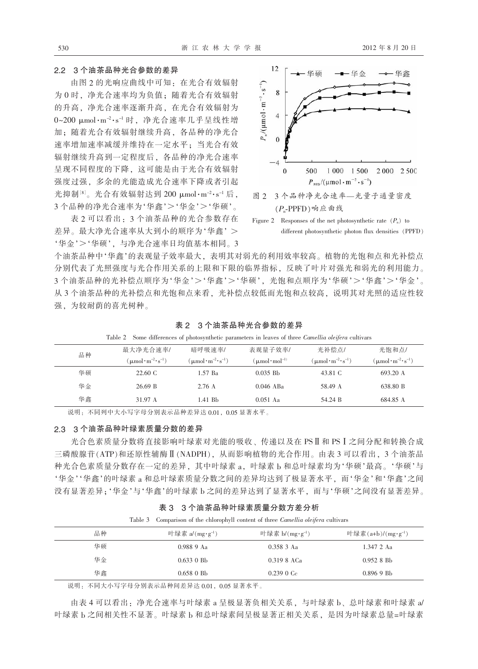# 2.2 3个油茶品种光合参数的差异

由图 2 的光响应曲线中可知: 在光合有效辐射 为0时, 净光合速率均为负值; 随着光合有效辐射 的升高,净光合速率逐渐升高,在光合有效辐射为  $0$ ~200 μmol·m<sup>-2</sup>·s<sup>-1</sup> 时, 净光合速率几乎呈线性增 加;随着光合有效辐射继续升高,各品种的净光合 速率增加速率减缓并维持在一定水平; 当光合有效 辐射继续升高到一定程度后, 各品种的净光合速率 呈现不同程度的下降, 这可能是由于光合有效辐射 强度过强,多余的光能造成光合速率下降或者引起 光抑制<sup>[8]</sup>。光合有效辐射达到 200 μmol·m<sup>-2</sup>·s<sup>-1</sup> 后, 3个品种的净光合速率为'华鑫'>'华金'>'华硕'。

表 2 可以看出: 3 个油茶品种的光合参数存在 差异。最大净光合速率从大到小的顺序为'华鑫' > '华金'>'华硕', 与净光合速率日均值基本相同。3



 $(P_n$ -PPFD)响应曲线

Figure 2 Responses of the net photosynthetic rate  $(P_n)$  to different photosynthetic photon flux densities (PPFD)

个油茶品种中'华鑫'的表观量子效率最大,表明其对弱光的利用效率较高。植物的光饱和点和光补偿点 分别代表了光照强度与光合作用关系的上限和下限的临界指标,反映了叶片对强光和弱光的利用能力。 3个油茶品种的光补偿点顺序为'华金'>'华鑫'>'华硕',光饱和点顺序为'华硕'>'华鑫'>'华金'。 从3个油茶品种的光补偿点和光饱和点来看,光补偿点较低而光饱和点较高,说明其对光照的适应性较 强,为较耐荫的喜光树种。

| Table 2 Some differences of photosynthetic parameters in leaves of three <i>Camellia oleifera</i> cultivars |                                                            |                                                            |                               |                                                            |                                                            |  |
|-------------------------------------------------------------------------------------------------------------|------------------------------------------------------------|------------------------------------------------------------|-------------------------------|------------------------------------------------------------|------------------------------------------------------------|--|
| 品种                                                                                                          | 最大净光合速率/                                                   | 暗呼吸速率/                                                     | 表观量子效率/                       | 光补偿点/                                                      | 光饱和点/                                                      |  |
|                                                                                                             | $(\mu \text{mol} \cdot \text{m}^{-2} \cdot \text{s}^{-1})$ | $(\mu \text{mol} \cdot \text{m}^{-2} \cdot \text{s}^{-1})$ | $(\mu$ mol·mol <sup>-1)</sup> | $(\mu \text{mol} \cdot \text{m}^{-2} \cdot \text{s}^{-1})$ | $(\mu \text{mol} \cdot \text{m}^{-2} \cdot \text{s}^{-1})$ |  |
| 华硕                                                                                                          | 22.60 C                                                    | 1.57 Ba                                                    | $0.035$ Bb                    | 43.81 C                                                    | 693.20 A                                                   |  |
| 华金                                                                                                          | 26.69 B                                                    | 2.76A                                                      | $0.046$ ABa                   | 58.49 A                                                    | 638.80 B                                                   |  |
| 华鑫                                                                                                          | 31.97 A                                                    | 1.41 Bb                                                    | $0.051$ Aa                    | 54.24 B                                                    | 684.85 A                                                   |  |

表 2 3 个油茶品种光合参数的差异

说明: 不同列中大小写字母分别表示品种差异达 0.01, 0.05 显著水平。

# 2.3 3个油茶品种叶绿素质量分数的差异

光合色素质量分数将直接影响叶绿素对光能的吸收、传递以及在 PSⅡ和 PSⅠ 之间分配和转换合成 三磷酸腺苷(ATP)和还原性辅酶 II (NADPH), 从而影响植物的光合作用。由表 3 可以看出, 3 个油茶品 种光合色素质量分数存在一定的差异, 其中叶绿素 a, 叶绿素 b 和总叶绿素均为'华硕'最高。'华硕'与 '华金''华鑫'的叶绿素 a 和总叶绿素质量分数之间的差异均达到了极显著水平, 而'华金'和'华鑫'之间 没有显著差异;'华金'与'华鑫'的叶绿素 b 之间的差异达到了显著水平, 而与'华硕'之间没有显著差异。

| 表 3 3 个油茶品种叶绿素质量分数方差分析 |  |
|------------------------|--|
|------------------------|--|

Table 3 Comparison of the chlorophyll content of three Camellia oleifera cultivars

| 品种<br>叶绿素 a/(mg·g <sup>-1</sup> ) | 叶绿素 b/ $(mg \cdot g^{-1})$ | 叶绿素(a+b)/(mg·g <sup>-1</sup> ) |
|-----------------------------------|----------------------------|--------------------------------|
| 华硕<br>0.988 9 Aa                  | $0.3583$ Aa                | 1.347 2 Aa                     |
| 华金<br>$0.633 \; 0 \;$ Bb          | 0.319 8 ACa                | 0.9528B <sub>b</sub>           |
| 华鑫<br>$0.658$ 0 Bb                | 0.2390C <sub>c</sub>       | $0.8969$ Bb                    |

说明: 不同大小写字母分别表示品种间差异达 0.01, 0.05 显著水平。

由表 4 可以看出: 净光合速率与叶绿素 a 呈极显著负相关关系, 与叶绿素 b、总叶绿素和叶绿素 a/ 叶绿素 b 之间相关性不显著。叶绿素 b 和总叶绿素间呈极显著正相关关系, 是因为叶绿素总量=叶绿素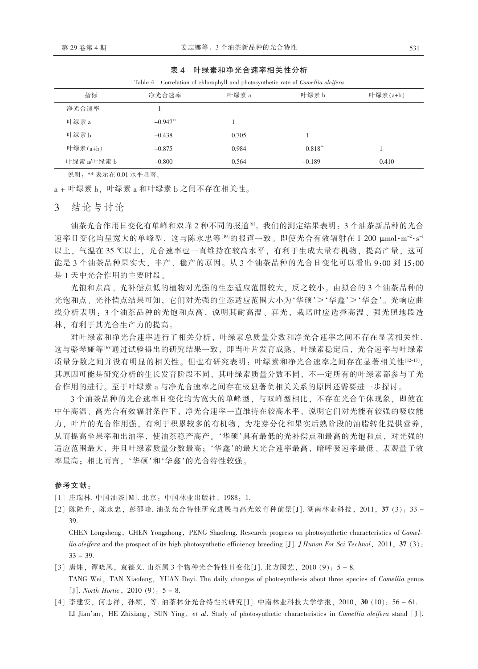| 表 4 | 叶绿素和净光合速率相关性分析 |
|-----|----------------|
|     |                |

| Table 4<br>Correlation of chlorophyll and photosynthetic rate of <i>Camellia oletera</i> |            |       |           |          |  |  |
|------------------------------------------------------------------------------------------|------------|-------|-----------|----------|--|--|
| 指标                                                                                       | 净光合速率      | 叶绿素 a | 叶绿素b      | 叶绿素(a+b) |  |  |
| 净光合速率                                                                                    |            |       |           |          |  |  |
| 叶绿素 a                                                                                    | $-0.947**$ |       |           |          |  |  |
| 叶绿素b                                                                                     | $-0.438$   | 0.705 |           |          |  |  |
| 叶绿素 $(a+b)$                                                                              | $-0.875$   | 0.984 | $0.818**$ |          |  |  |
| 叶绿素 a/叶绿素 b                                                                              | $-0.800$   | 0.564 | $-0.189$  | 0.410    |  |  |

说明: \*\* 表示在 0.01 水平显著。

a + 叶绿素 b, 叶绿素 a 和叶绿素 b 之间不存在相关性。

结论与计论  $\mathcal{E}$ 

油茶光合作用日变化有单峰和双峰2种不同的报道<sup>[9]</sup>。我们的测定结果表明: 3个油茶新品种的光合 速率日变化均呈宽大的单峰型, 这与陈永忠等[10]的报道一致。即使光合有效辐射在 1 200 μmol·m<sup>-2</sup>·s<sup>-1</sup> 以上,气温在35℃以上,光合速率也一直维持在较高水平,有利于生成大量有机物,提高产量,这可 能是3个油茶品种果实大,丰产、稳产的原因。从3个油茶品种的光合日变化可以看出9:00到15:00 是1天中光合作用的主要时段。

光饱和点高、光补偿点低的植物对光强的生态适应范围较大, 反之较小。由拟合的3个油茶品种的 光饱和点、光补偿点结果可知, 它们对光强的生态适应范围大小为'华硕'>'华鑫'>'华金'。光响应曲 线分析表明: 3个油茶品种的光饱和点高, 说明其耐高温、喜光, 栽培时应选择高温、强光照地段造 林,有利于其光合生产力的提高。

对叶绿素和净光合速率进行了相关分析, 叶绿素总质量分数和净光合速率之间不存在显著相关性, 这与骆琴娅等<sup>[10]</sup>通过试验得出的研究结果一致, 即当叶片发育成熟, 叶绿素稳定后, 光合速率与叶绿素 质量分数之间并没有明显的相关性。但也有研究表明:叶绿素和净光合速率之间存在显著相关性[12-13], 其原因可能是研究分析的生长发育阶段不同,其叶绿素质量分数不同,不一定所有的叶绿素都参与了光 合作用的进行。至于叶绿素a与净光合速率之间存在极显著负相关关系的原因还需要进一步探讨。

3个油茶品种的光合速率日变化均为宽大的单峰型, 与双峰型相比, 不存在光合午休现象, 即使在 中午高温、高光合有效辐射条件下,净光合速率一直维持在较高水平,说明它们对光能有较强的吸收能 力, 叶片的光合作用强, 有利于积累较多的有机物, 为花芽分化和果实后熟阶段的油脂转化提供营养, 从而提高坐果率和出油率, 使油茶稳产高产。'华硕'具有最低的光补偿点和最高的光饱和点, 对光强的 适应范围最大,并且叶绿素质量分数最高;'华鑫'的最大光合速率最高,暗呼吸速率最低、表观量子效 率最高;相比而言,'华硕'和'华鑫'的光合特性较强。

### 参考文献:

[1] 庄瑞林. 中国油茶[M]. 北京: 中国林业出版社, 1988: 1.

[2] 陈隆升, 陈永忠, 彭邵峰. 油茶光合特性研究进展与高光效育种前景[J]. 湖南林业科技, 2011, 37 (3): 33 -39.

CHEN Longsheng, CHEN Yongzhong, PENG Shaofeng. Research progress on photosynthetic characteristics of Camellia oleifera and the prospect of its high photosynthetic efficiency breeding [J]. J Hunan For Sci Technol, 2011, 37 (3):  $33 - 39$ .

- [3] 唐炜, 谭晓风, 袁德义. 山茶属 3 个物种光合特性日变化[J]. 北方园艺, 2010 (9): 5-8. TANG Wei, TAN Xiaofeng, YUAN Deyi. The daily changes of photosynthesis about three species of *Camellia* genus [J]. North Hortic, 2010 $(9)$ : 5 – 8.
- [4] 李建安, 何志祥, 孙颖, 等. 油茶林分光合特性的研究[J]. 中南林业科技大学学报, 2010, 30 (10): 56 61. LI Jian'an, HE Zhixiang, SUN Ying, et al. Study of photosynthetic characteristics in Camellia oleifera stand [J].